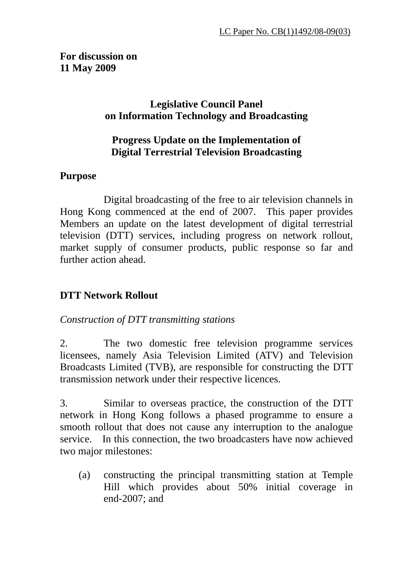#### **For discussion on 11 May 2009**

## **Legislative Council Panel on Information Technology and Broadcasting**

## **Progress Update on the Implementation of Digital Terrestrial Television Broadcasting**

## **Purpose**

 Digital broadcasting of the free to air television channels in Hong Kong commenced at the end of 2007. This paper provides Members an update on the latest development of digital terrestrial television (DTT) services, including progress on network rollout, market supply of consumer products, public response so far and further action ahead.

# **DTT Network Rollout**

## *Construction of DTT transmitting stations*

2. The two domestic free television programme services licensees, namely Asia Television Limited (ATV) and Television Broadcasts Limited (TVB), are responsible for constructing the DTT transmission network under their respective licences.

3. Similar to overseas practice, the construction of the DTT network in Hong Kong follows a phased programme to ensure a smooth rollout that does not cause any interruption to the analogue service. In this connection, the two broadcasters have now achieved two major milestones:

(a) constructing the principal transmitting station at Temple Hill which provides about 50% initial coverage in end-2007; and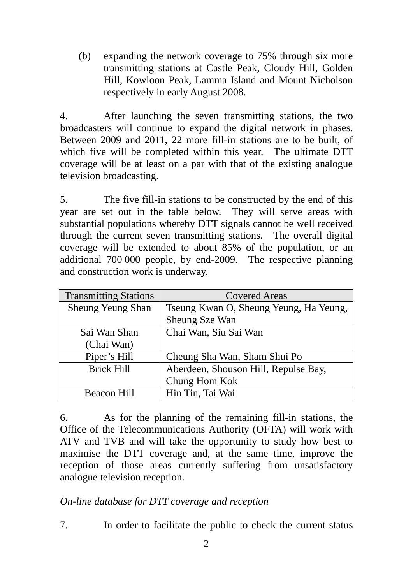(b) expanding the network coverage to 75% through six more transmitting stations at Castle Peak, Cloudy Hill, Golden Hill, Kowloon Peak, Lamma Island and Mount Nicholson respectively in early August 2008.

4. After launching the seven transmitting stations, the two broadcasters will continue to expand the digital network in phases. Between 2009 and 2011, 22 more fill-in stations are to be built, of which five will be completed within this year. The ultimate DTT coverage will be at least on a par with that of the existing analogue television broadcasting.

5. The five fill-in stations to be constructed by the end of this year are set out in the table below. They will serve areas with substantial populations whereby DTT signals cannot be well received through the current seven transmitting stations. The overall digital coverage will be extended to about 85% of the population, or an additional 700 000 people, by end-2009. The respective planning and construction work is underway.

| <b>Transmitting Stations</b> | <b>Covered Areas</b>                   |
|------------------------------|----------------------------------------|
| <b>Sheung Yeung Shan</b>     | Tseung Kwan O, Sheung Yeung, Ha Yeung, |
|                              | <b>Sheung Sze Wan</b>                  |
| Sai Wan Shan                 | Chai Wan, Siu Sai Wan                  |
| (Chai Wan)                   |                                        |
| Piper's Hill                 | Cheung Sha Wan, Sham Shui Po           |
| <b>Brick Hill</b>            | Aberdeen, Shouson Hill, Repulse Bay,   |
|                              | Chung Hom Kok                          |
| <b>Beacon Hill</b>           | Hin Tin, Tai Wai                       |

6. As for the planning of the remaining fill-in stations, the Office of the Telecommunications Authority (OFTA) will work with ATV and TVB and will take the opportunity to study how best to maximise the DTT coverage and, at the same time, improve the reception of those areas currently suffering from unsatisfactory analogue television reception.

#### *On-line database for DTT coverage and reception*

7. In order to facilitate the public to check the current status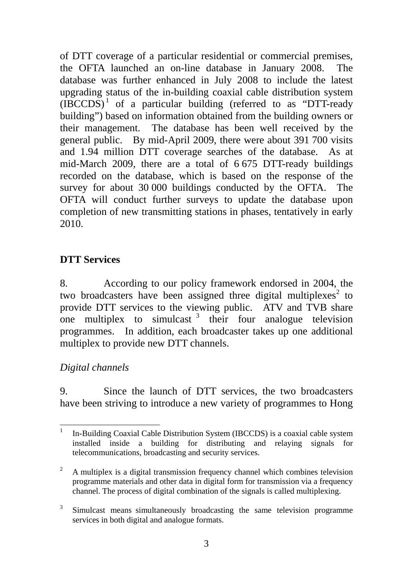of DTT coverage of a particular residential or commercial premises, the OFTA launched an on-line database in January 2008. The database was further enhanced in July 2008 to include the latest upgrading status of the in-building coaxial cable distribution system  $(IECCDS)^1$  of a particular building (referred to as "DTT-ready building") based on information obtained from the building owners or their management. The database has been well received by the general public. By mid-April 2009, there were about 391 700 visits and 1.94 million DTT coverage searches of the database. As at mid-March 2009, there are a total of 6 675 DTT-ready buildings recorded on the database, which is based on the response of the survey for about 30 000 buildings conducted by the OFTA. The OFTA will conduct further surveys to update the database upon completion of new transmitting stations in phases, tentatively in early 2010.

## **DTT Services**

8. According to our policy framework endorsed in 2004, the two broadcasters have been assigned three digital multiplexes<sup>2</sup> to provide DTT services to the viewing public. ATV and TVB share one multiplex to simulcast  $\frac{3}{10}$  their four analogue television programmes. In addition, each broadcaster takes up one additional multiplex to provide new DTT channels.

## *Digital channels*

9. Since the launch of DTT services, the two broadcasters have been striving to introduce a new variety of programmes to Hong

 $\frac{1}{1}$  In-Building Coaxial Cable Distribution System (IBCCDS) is a coaxial cable system installed inside a building for distributing and relaying signals for telecommunications, broadcasting and security services.

<sup>2</sup> A multiplex is a digital transmission frequency channel which combines television programme materials and other data in digital form for transmission via a frequency channel. The process of digital combination of the signals is called multiplexing.

<sup>3</sup> Simulcast means simultaneously broadcasting the same television programme services in both digital and analogue formats.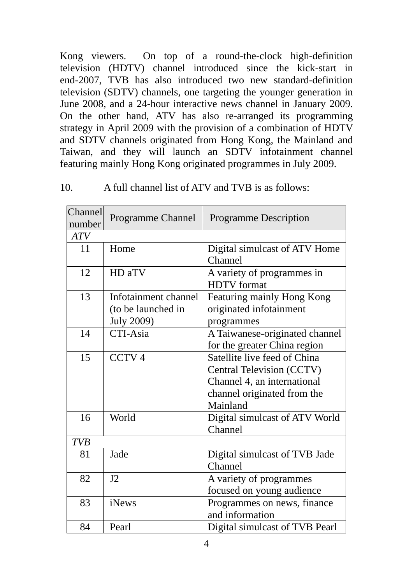Kong viewers. On top of a round-the-clock high-definition television (HDTV) channel introduced since the kick-start in end-2007, TVB has also introduced two new standard-definition television (SDTV) channels, one targeting the younger generation in June 2008, and a 24-hour interactive news channel in January 2009. On the other hand, ATV has also re-arranged its programming strategy in April 2009 with the provision of a combination of HDTV and SDTV channels originated from Hong Kong, the Mainland and Taiwan, and they will launch an SDTV infotainment channel featuring mainly Hong Kong originated programmes in July 2009.

#### 10. A full channel list of ATV and TVB is as follows:

| Channel<br>number | <b>Programme Channel</b>                   | <b>Programme Description</b>                              |
|-------------------|--------------------------------------------|-----------------------------------------------------------|
| <b>ATV</b>        |                                            |                                                           |
| 11                | Home                                       | Digital simulcast of ATV Home<br>Channel                  |
| 12                | HD aTV                                     | A variety of programmes in<br><b>HDTV</b> format          |
| 13                | Infotainment channel<br>(to be launched in | Featuring mainly Hong Kong<br>originated infotainment     |
|                   | <b>July 2009)</b>                          | programmes                                                |
| 14                | CTI-Asia                                   | A Taiwanese-originated channel                            |
|                   |                                            | for the greater China region                              |
| 15                | CCTV <sub>4</sub>                          | Satellite live feed of China<br>Central Television (CCTV) |
|                   |                                            | Channel 4, an international                               |
|                   |                                            | channel originated from the<br>Mainland                   |
| 16                | World                                      | Digital simulcast of ATV World<br>Channel                 |
| <b>TVB</b>        |                                            |                                                           |
| 81                | Jade                                       | Digital simulcast of TVB Jade<br>Channel                  |
| 82                | J2                                         | A variety of programmes<br>focused on young audience      |
| 83                | iNews                                      | Programmes on news, finance<br>and information            |
| 84                | Pearl                                      | Digital simulcast of TVB Pearl                            |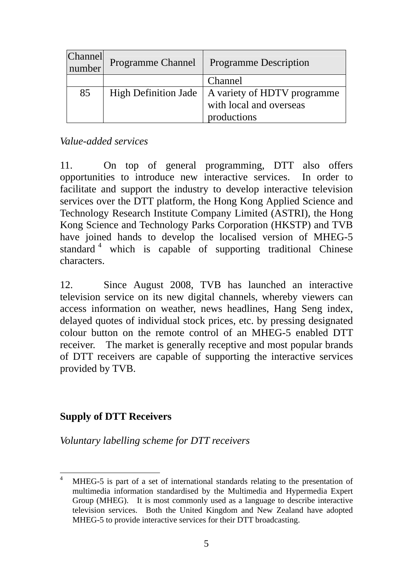| <b>Channel</b><br>number | Programme Channel | <b>Programme Description</b>                                                                 |
|--------------------------|-------------------|----------------------------------------------------------------------------------------------|
|                          |                   | Channel                                                                                      |
| 85                       |                   | High Definition Jade   A variety of HDTV programme<br>with local and overseas<br>productions |

*Value-added services* 

11. On top of general programming, DTT also offers opportunities to introduce new interactive services. In order to facilitate and support the industry to develop interactive television services over the DTT platform, the Hong Kong Applied Science and Technology Research Institute Company Limited (ASTRI), the Hong Kong Science and Technology Parks Corporation (HKSTP) and TVB have joined hands to develop the localised version of MHEG-5 standard<sup>4</sup> which is capable of supporting traditional Chinese characters.

12. Since August 2008, TVB has launched an interactive television service on its new digital channels, whereby viewers can access information on weather, news headlines, Hang Seng index, delayed quotes of individual stock prices, etc. by pressing designated colour button on the remote control of an MHEG-5 enabled DTT receiver. The market is generally receptive and most popular brands of DTT receivers are capable of supporting the interactive services provided by TVB.

## **Supply of DTT Receivers**

 $\overline{a}$ 

*Voluntary labelling scheme for DTT receivers* 

<sup>4</sup> MHEG-5 is part of a set of international standards relating to the presentation of multimedia information standardised by the Multimedia and Hypermedia Expert Group (MHEG). It is most commonly used as a language to describe interactive television services. Both the United Kingdom and New Zealand have adopted MHEG-5 to provide interactive services for their DTT broadcasting.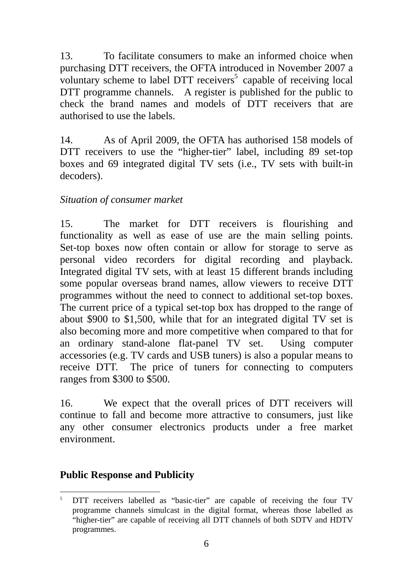13. To facilitate consumers to make an informed choice when purchasing DTT receivers, the OFTA introduced in November 2007 a voluntary scheme to label DTT receivers<sup>5</sup> capable of receiving local DTT programme channels. A register is published for the public to check the brand names and models of DTT receivers that are authorised to use the labels.

14. As of April 2009, the OFTA has authorised 158 models of DTT receivers to use the "higher-tier" label, including 89 set-top boxes and 69 integrated digital TV sets (i.e., TV sets with built-in decoders).

## *Situation of consumer market*

15. The market for DTT receivers is flourishing and functionality as well as ease of use are the main selling points. Set-top boxes now often contain or allow for storage to serve as personal video recorders for digital recording and playback. Integrated digital TV sets, with at least 15 different brands including some popular overseas brand names, allow viewers to receive DTT programmes without the need to connect to additional set-top boxes. The current price of a typical set-top box has dropped to the range of about \$900 to \$1,500, while that for an integrated digital TV set is also becoming more and more competitive when compared to that for an ordinary stand-alone flat-panel TV set. Using computer accessories (e.g. TV cards and USB tuners) is also a popular means to receive DTT. The price of tuners for connecting to computers ranges from \$300 to \$500.

16. We expect that the overall prices of DTT receivers will continue to fall and become more attractive to consumers, just like any other consumer electronics products under a free market environment.

## **Public Response and Publicity**

 $\overline{a}$ 5 DTT receivers labelled as "basic-tier" are capable of receiving the four TV programme channels simulcast in the digital format, whereas those labelled as "higher-tier" are capable of receiving all DTT channels of both SDTV and HDTV programmes.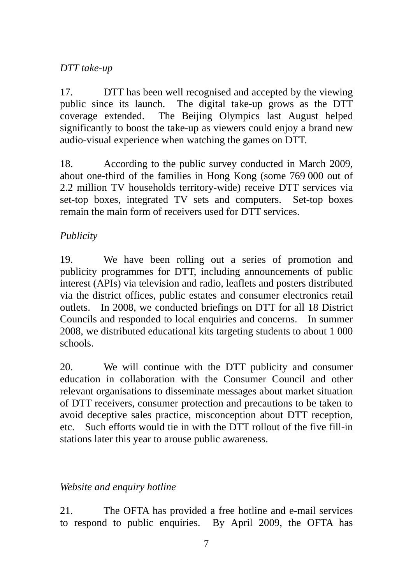## *DTT take-up*

17. DTT has been well recognised and accepted by the viewing public since its launch. The digital take-up grows as the DTT coverage extended. The Beijing Olympics last August helped significantly to boost the take-up as viewers could enjoy a brand new audio-visual experience when watching the games on DTT.

18. According to the public survey conducted in March 2009, about one-third of the families in Hong Kong (some 769 000 out of 2.2 million TV households territory-wide) receive DTT services via set-top boxes, integrated TV sets and computers. Set-top boxes remain the main form of receivers used for DTT services.

## *Publicity*

19. We have been rolling out a series of promotion and publicity programmes for DTT, including announcements of public interest (APIs) via television and radio, leaflets and posters distributed via the district offices, public estates and consumer electronics retail outlets. In 2008, we conducted briefings on DTT for all 18 District Councils and responded to local enquiries and concerns. In summer 2008, we distributed educational kits targeting students to about 1 000 schools.

20. We will continue with the DTT publicity and consumer education in collaboration with the Consumer Council and other relevant organisations to disseminate messages about market situation of DTT receivers, consumer protection and precautions to be taken to avoid deceptive sales practice, misconception about DTT reception, etc. Such efforts would tie in with the DTT rollout of the five fill-in stations later this year to arouse public awareness.

## *Website and enquiry hotline*

21. The OFTA has provided a free hotline and e-mail services to respond to public enquiries. By April 2009, the OFTA has